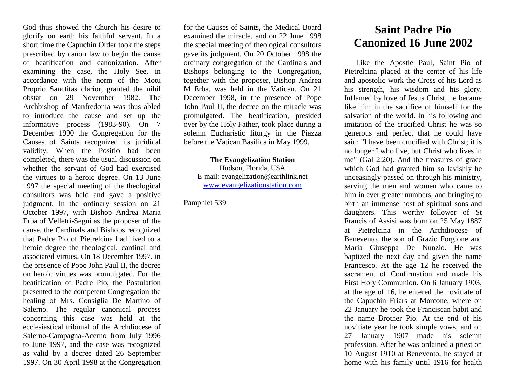God thus showed the Church his desire to glorify on earth his faithful servant. In a short time the Capuchin Order took the steps prescribed by canon law to begin the cause of beatification and canonization. After examining the case, the Holy See, in accordance with the norm of the Motu Proprio Sanctitas clarior, granted the nihil obstat on 29 November 1982. The Archbishop of Manfredonia was thus abled to introduce the cause and set up the informative process (1983-90). On 7 December 1990 the Congregation for the Causes of Saints recognized its juridical validity. When the Positio had been completed, there was the usual discussion on whether the servant of God had exercised the virtues to a heroic degree. On 13 June 1997 the special meeting of the theological consultors was held and gave a positive judgment. In the ordinary session on 21 October 1997, with Bishop Andrea Maria Erba of Velletri-Segni as the proposer of the cause, the Cardinals and Bishops recognized that Padre Pio of Pietrelcina had lived to a heroic degree the theological, cardinal and associated virtues. On 18 December 1997, in the presence of Pope John Paul II, the decree on heroic virtues was promulgated. For the beatification of Padre Pio, the Postulation presented to the competent Congregation the healing of Mrs. Consiglia De Martino of Salerno. The regular canonical process concerning this case was held at the ecclesiastical tribunal of the Archdiocese of Salerno-Campagna-Acerno from July 1996 to June 1997, and the case was recognized as valid by a decree dated 26 September 1997. On 30 April 1998 at the Congregation

for the Causes of Saints, the Medical Board examined the miracle, and on 22 June 1998 the special meeting of theological consultors gave its judgment. On 20 October 1998 the ordinary congregation of the Cardinals and Bishops belonging to the Congregation, together with the proposer, Bishop Andrea M Erba, was held in the Vatican. On 21 December 1998, in the presence of Pope John Paul II, the decree on the miracle was promulgated. The beatification, presided over by the Holy Father, took place during a solemn Eucharistic liturgy in the Piazza before the Vatican Basilica in May 1999.

**The Evangelization Station** Hudson, Florida, USA E-mail: evangelization@earthlink.net [www.evangelizationstation.com](http://www.pjpiisoe.org/)

Pamphlet 539

## **Saint Padre Pio Canonized 16 June 2002**

Like the Apostle Paul, Saint Pio of Pietrelcina placed at the center of his life and apostolic work the Cross of his Lord as his strength, his wisdom and his glory. Inflamed by love of Jesus Christ, he became like him in the sacrifice of himself for the salvation of the world. In his following and imitation of the crucified Christ he was so generous and perfect that he could have said: "I have been crucified with Christ; it is no longer I who live, but Christ who lives in me" (Gal 2:20). And the treasures of grace which God had granted him so lavishly he unceasingly passed on through his ministry, serving the men and women who came to him in ever greater numbers, and bringing to birth an immense host of spiritual sons and daughters. This worthy follower of St Francis of Assisi was born on 25 May 1887 at Pietrelcina in the Archdiocese of Benevento, the son of Grazio Forgione and Maria Giuseppa De Nunzio. He was baptized the next day and given the name Francesco. At the age 12 he received the sacrament of Confirmation and made his First Holy Communion. On 6 January 1903, at the age of 16, he entered the novitiate of the Capuchin Friars at Morcone, where on 22 January he took the Franciscan habit and the name Brother Pio. At the end of his novitiate year he took simple vows, and on 27 January 1907 made his solemn profession. After he was ordained a priest on 10 August 1910 at Benevento, he stayed at home with his family until 1916 for health